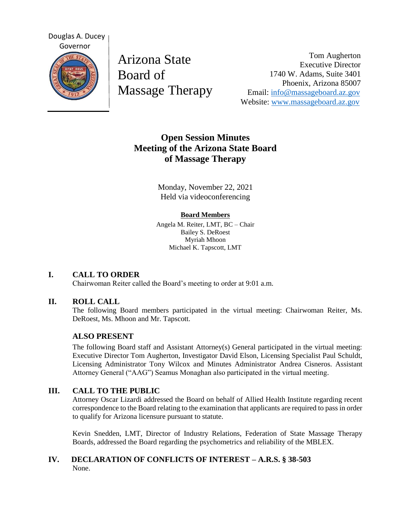

Arizona State Board of Massage Therapy

Tom Augherton Executive Director 1740 W. Adams, Suite 3401 Phoenix, Arizona 85007 Email: [info@massageboard.az.gov](mailto:info@massageboard.az.gov) Website: [www.massageboard.az.gov](http://www.massageboard.az.gov/)

# **Open Session Minutes Meeting of the Arizona State Board of Massage Therapy**

Monday, November 22, 2021 Held via videoconferencing

## **Board Members**

Angela M. Reiter, LMT, BC – Chair Bailey S. DeRoest Myriah Mhoon Michael K. Tapscott, LMT

# **I. CALL TO ORDER**

Chairwoman Reiter called the Board's meeting to order at 9:01 a.m.

## **II. ROLL CALL**

The following Board members participated in the virtual meeting: Chairwoman Reiter, Ms. DeRoest, Ms. Mhoon and Mr. Tapscott.

# **ALSO PRESENT**

The following Board staff and Assistant Attorney(s) General participated in the virtual meeting: Executive Director Tom Augherton, Investigator David Elson, Licensing Specialist Paul Schuldt, Licensing Administrator Tony Wilcox and Minutes Administrator Andrea Cisneros. Assistant Attorney General ("AAG") Seamus Monaghan also participated in the virtual meeting.

# **III. CALL TO THE PUBLIC**

Attorney Oscar Lizardi addressed the Board on behalf of Allied Health Institute regarding recent correspondence to the Board relating to the examination that applicants are required to pass in order to qualify for Arizona licensure pursuant to statute.

Kevin Snedden, LMT, Director of Industry Relations, Federation of State Massage Therapy Boards, addressed the Board regarding the psychometrics and reliability of the MBLEX.

# **IV. DECLARATION OF CONFLICTS OF INTEREST – A.R.S. § 38-503** None.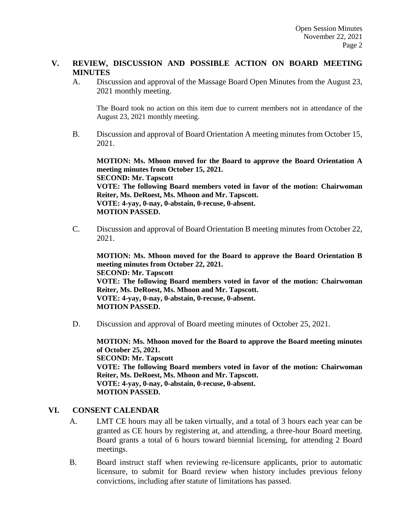# **V. REVIEW, DISCUSSION AND POSSIBLE ACTION ON BOARD MEETING MINUTES**

A. Discussion and approval of the Massage Board Open Minutes from the August 23, 2021 monthly meeting.

The Board took no action on this item due to current members not in attendance of the August 23, 2021 monthly meeting.

B. Discussion and approval of Board Orientation A meeting minutes from October 15, 2021.

**MOTION: Ms. Mhoon moved for the Board to approve the Board Orientation A meeting minutes from October 15, 2021. SECOND: Mr. Tapscott VOTE: The following Board members voted in favor of the motion: Chairwoman Reiter, Ms. DeRoest, Ms. Mhoon and Mr. Tapscott. VOTE: 4-yay, 0-nay, 0-abstain, 0-recuse, 0-absent. MOTION PASSED.** 

C. Discussion and approval of Board Orientation B meeting minutes from October 22, 2021.

**MOTION: Ms. Mhoon moved for the Board to approve the Board Orientation B meeting minutes from October 22, 2021. SECOND: Mr. Tapscott VOTE: The following Board members voted in favor of the motion: Chairwoman Reiter, Ms. DeRoest, Ms. Mhoon and Mr. Tapscott. VOTE: 4-yay, 0-nay, 0-abstain, 0-recuse, 0-absent. MOTION PASSED.** 

D. Discussion and approval of Board meeting minutes of October 25, 2021.

**MOTION: Ms. Mhoon moved for the Board to approve the Board meeting minutes of October 25, 2021. SECOND: Mr. Tapscott VOTE: The following Board members voted in favor of the motion: Chairwoman Reiter, Ms. DeRoest, Ms. Mhoon and Mr. Tapscott. VOTE: 4-yay, 0-nay, 0-abstain, 0-recuse, 0-absent. MOTION PASSED.** 

## **VI. CONSENT CALENDAR**

- A. LMT CE hours may all be taken virtually, and a total of 3 hours each year can be granted as CE hours by registering at, and attending, a three-hour Board meeting. Board grants a total of 6 hours toward biennial licensing, for attending 2 Board meetings.
- B. Board instruct staff when reviewing re-licensure applicants, prior to automatic licensure, to submit for Board review when history includes previous felony convictions, including after statute of limitations has passed.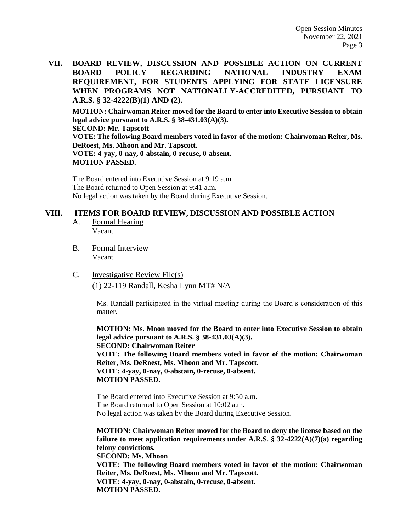**VII. BOARD REVIEW, DISCUSSION AND POSSIBLE ACTION ON CURRENT BOARD POLICY REGARDING NATIONAL INDUSTRY EXAM REQUIREMENT, FOR STUDENTS APPLYING FOR STATE LICENSURE WHEN PROGRAMS NOT NATIONALLY-ACCREDITED, PURSUANT TO A.R.S. § 32-4222(B)(1) AND (2).** 

**MOTION: Chairwoman Reiter moved for the Board to enter into Executive Session to obtain legal advice pursuant to A.R.S. § 38-431.03(A)(3). SECOND: Mr. Tapscott VOTE: The following Board members voted in favor of the motion: Chairwoman Reiter, Ms. DeRoest, Ms. Mhoon and Mr. Tapscott. VOTE: 4-yay, 0-nay, 0-abstain, 0-recuse, 0-absent. MOTION PASSED.** 

The Board entered into Executive Session at 9:19 a.m. The Board returned to Open Session at 9:41 a.m. No legal action was taken by the Board during Executive Session.

#### **VIII. ITEMS FOR BOARD REVIEW, DISCUSSION AND POSSIBLE ACTION**

- A. Formal Hearing Vacant.
- B. Formal Interview Vacant.
- C. Investigative Review File(s)

(1) 22-119 Randall, Kesha Lynn MT# N/A

Ms. Randall participated in the virtual meeting during the Board's consideration of this matter.

**MOTION: Ms. Moon moved for the Board to enter into Executive Session to obtain legal advice pursuant to A.R.S. § 38-431.03(A)(3). SECOND: Chairwoman Reiter VOTE: The following Board members voted in favor of the motion: Chairwoman Reiter, Ms. DeRoest, Ms. Mhoon and Mr. Tapscott. VOTE: 4-yay, 0-nay, 0-abstain, 0-recuse, 0-absent. MOTION PASSED.** 

The Board entered into Executive Session at 9:50 a.m. The Board returned to Open Session at 10:02 a.m. No legal action was taken by the Board during Executive Session.

**MOTION: Chairwoman Reiter moved for the Board to deny the license based on the failure to meet application requirements under A.R.S. § 32-4222(A)(7)(a) regarding felony convictions. SECOND: Ms. Mhoon VOTE: The following Board members voted in favor of the motion: Chairwoman** 

**Reiter, Ms. DeRoest, Ms. Mhoon and Mr. Tapscott. VOTE: 4-yay, 0-nay, 0-abstain, 0-recuse, 0-absent. MOTION PASSED.**